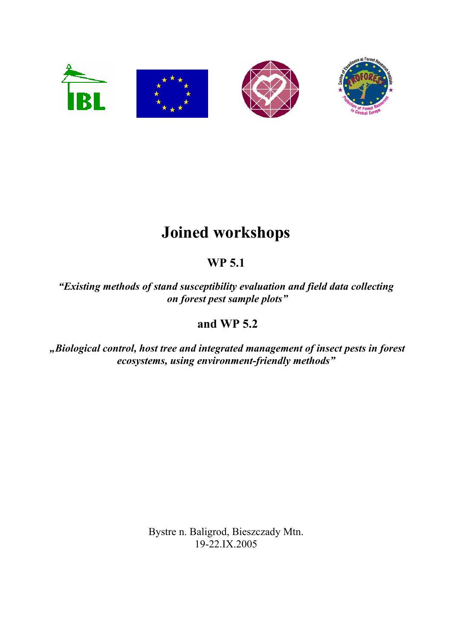

## **Joined workshops**

## **WP 5.1**

*"Existing methods of stand susceptibility evaluation and field data collecting on forest pest sample plots"* 

## **and WP 5.2**

 *"Biological control, host tree and integrated management of insect pests in forest ecosystems, using environment-friendly methods"* 

> Bystre n. Baligrod, Bieszczady Mtn. 19-22.IX.2005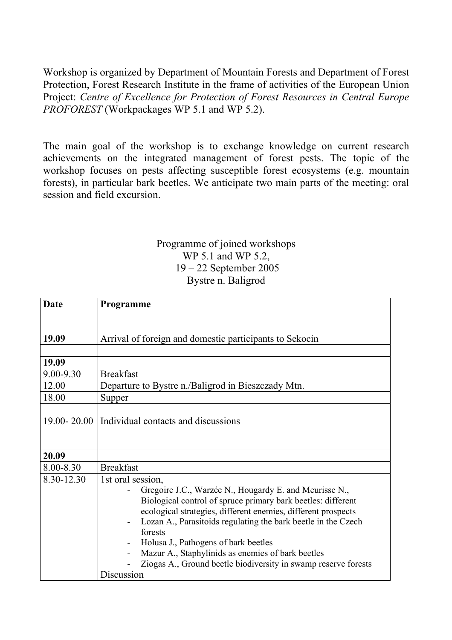Workshop is organized by Department of Mountain Forests and Department of Forest Protection, Forest Research Institute in the frame of activities of the European Union Project: *Centre of Excellence for Protection of Forest Resources in Central Europe PROFOREST* (Workpackages WP 5.1 and WP 5.2).

The main goal of the workshop is to exchange knowledge on current research achievements on the integrated management of forest pests. The topic of the workshop focuses on pests affecting susceptible forest ecosystems (e.g. mountain forests), in particular bark beetles. We anticipate two main parts of the meeting: oral session and field excursion.

## Programme of joined workshops WP 5.1 and WP 5.2, 19 – 22 September 2005 Bystre n. Baligrod

| Date       | Programme                                                                                                                                                                                                                                                                                                                                                                                                                                                             |
|------------|-----------------------------------------------------------------------------------------------------------------------------------------------------------------------------------------------------------------------------------------------------------------------------------------------------------------------------------------------------------------------------------------------------------------------------------------------------------------------|
|            |                                                                                                                                                                                                                                                                                                                                                                                                                                                                       |
| 19.09      | Arrival of foreign and domestic participants to Sekocin                                                                                                                                                                                                                                                                                                                                                                                                               |
| 19.09      |                                                                                                                                                                                                                                                                                                                                                                                                                                                                       |
| 9.00-9.30  | <b>Breakfast</b>                                                                                                                                                                                                                                                                                                                                                                                                                                                      |
| 12.00      | Departure to Bystre n./Baligrod in Bieszczady Mtn.                                                                                                                                                                                                                                                                                                                                                                                                                    |
| 18.00      | Supper                                                                                                                                                                                                                                                                                                                                                                                                                                                                |
|            |                                                                                                                                                                                                                                                                                                                                                                                                                                                                       |
|            | 19.00-20.00   Individual contacts and discussions                                                                                                                                                                                                                                                                                                                                                                                                                     |
|            |                                                                                                                                                                                                                                                                                                                                                                                                                                                                       |
| 20.09      |                                                                                                                                                                                                                                                                                                                                                                                                                                                                       |
| 8.00-8.30  | <b>Breakfast</b>                                                                                                                                                                                                                                                                                                                                                                                                                                                      |
| 8.30-12.30 | 1st oral session,<br>Gregoire J.C., Warzée N., Hougardy E. and Meurisse N.,<br>Biological control of spruce primary bark beetles: different<br>ecological strategies, different enemies, different prospects<br>Lozan A., Parasitoids regulating the bark beetle in the Czech<br>forests<br>Holusa J., Pathogens of bark beetles<br>Mazur A., Staphylinids as enemies of bark beetles<br>Ziogas A., Ground beetle biodiversity in swamp reserve forests<br>Discussion |